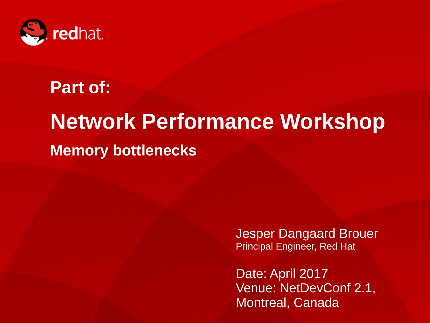

## **Part of:**

# **Network Performance Workshop Memory bottlenecks**

Jesper Dangaard Brouer Principal Engineer, Red Hat

1 **Network Performance Workshop, NetDev 1.2** Date: April 2017 Venue: NetDevConf 2.1, Montreal, Canada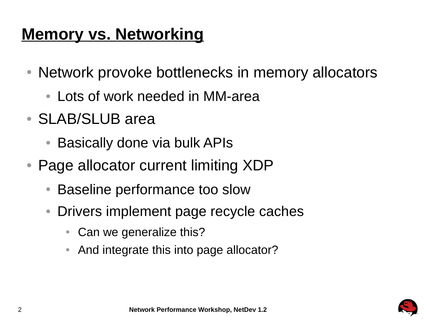### **Memory vs. Networking**

- Network provoke bottlenecks in memory allocators
	- Lots of work needed in MM-area
- SLAB/SLUB area
	- Basically done via bulk APIs
- Page allocator current limiting XDP
	- Baseline performance too slow
	- Drivers implement page recycle caches
		- Can we generalize this?
		- And integrate this into page allocator?

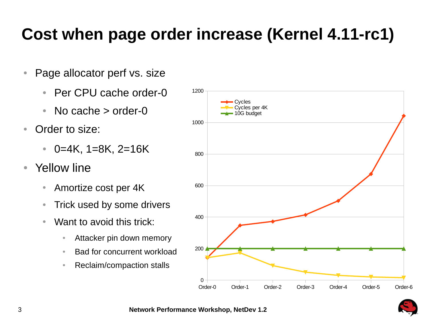### **Cost when page order increase (Kernel 4.11-rc1)**

- Page allocator perf vs. size
	- Per CPU cache order-0
	- No cache > order-0
- Order to size:
	- $\bullet$  0=4K, 1=8K, 2=16K
- Yellow line
	- Amortize cost per 4K
	- Trick used by some drivers
	- Want to avoid this trick:
		- Attacker pin down memory
		- Bad for concurrent workload
		- Reclaim/compaction stalls



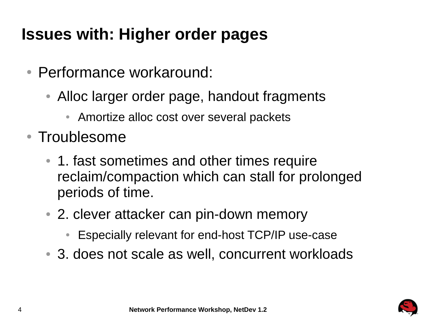## **Issues with: Higher order pages**

- Performance workaround:
	- Alloc larger order page, handout fragments
		- Amortize alloc cost over several packets
- Troublesome
	- 1. fast sometimes and other times require reclaim/compaction which can stall for prolonged periods of time.
	- 2. clever attacker can pin-down memory
		- Especially relevant for end-host TCP/IP use-case
	- 3. does not scale as well, concurrent workloads

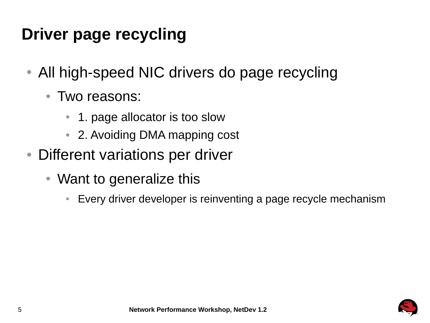## **Driver page recycling**

- All high-speed NIC drivers do page recycling
	- Two reasons:
		- 1. page allocator is too slow
		- 2. Avoiding DMA mapping cost
- Different variations per driver
	- Want to generalize this
		- Every driver developer is reinventing a page recycle mechanism

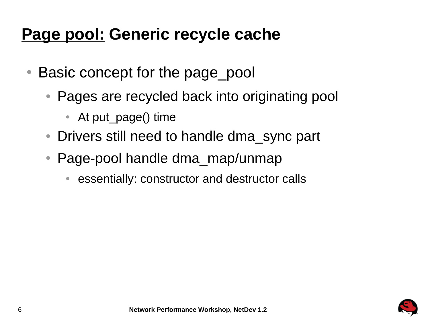#### **Page pool: Generic recycle cache**

- Basic concept for the page pool
	- Pages are recycled back into originating pool
		- At put page() time
	- Drivers still need to handle dma sync part
	- $\bullet$  Page-pool handle dma\_map/unmap
		- essentially: constructor and destructor calls

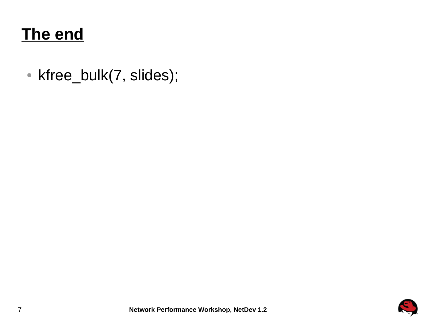#### **The end**

• kfree\_bulk(7, slides);